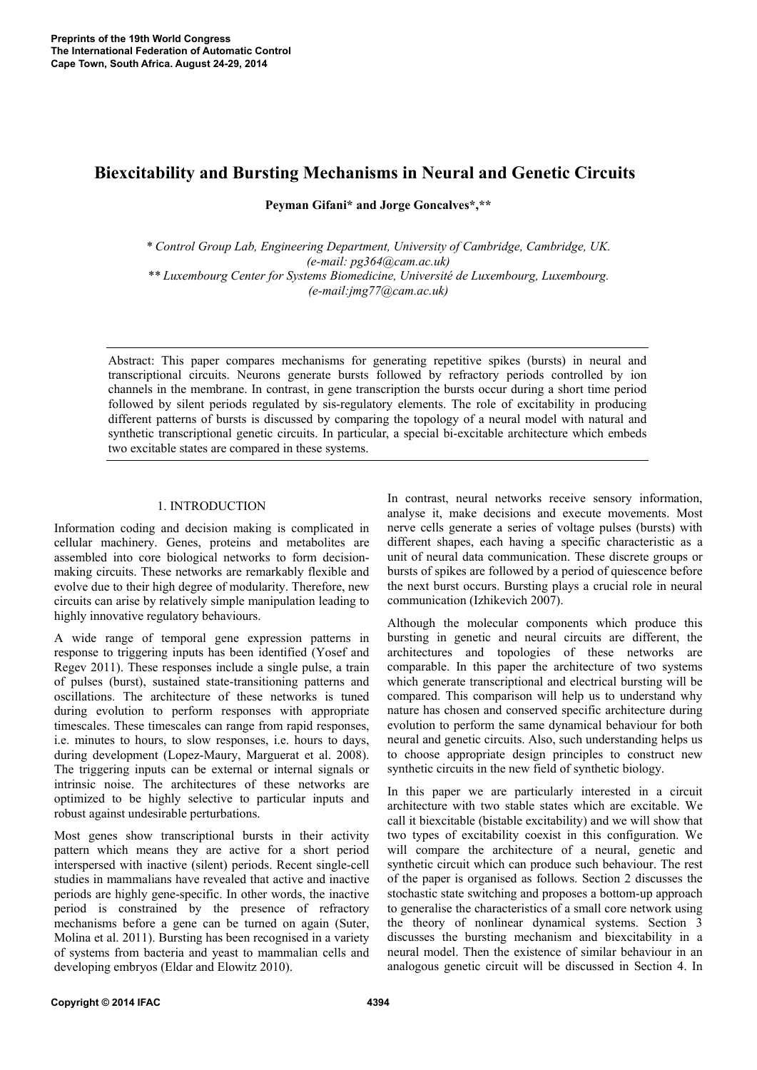# **Biexcitability and Bursting Mechanisms in Neural and Genetic Circuits**

**Peyman Gifani\* and Jorge Goncalves\*,\*\*** 

*\* Control Group Lab, Engineering Department, University of Cambridge, Cambridge, UK. (e-mail: pg364@cam.ac.uk)* 

*\*\* Luxembourg Center for Systems Biomedicine, Université de Luxembourg, Luxembourg. (e-mail:jmg77@cam.ac.uk)* 

Abstract: This paper compares mechanisms for generating repetitive spikes (bursts) in neural and transcriptional circuits. Neurons generate bursts followed by refractory periods controlled by ion channels in the membrane. In contrast, in gene transcription the bursts occur during a short time period followed by silent periods regulated by sis-regulatory elements. The role of excitability in producing different patterns of bursts is discussed by comparing the topology of a neural model with natural and synthetic transcriptional genetic circuits. In particular, a special bi-excitable architecture which embeds two excitable states are compared in these systems.

### 1. INTRODUCTION

Information coding and decision making is complicated in cellular machinery. Genes, proteins and metabolites are assembled into core biological networks to form decisionmaking circuits. These networks are remarkably flexible and evolve due to their high degree of modularity. Therefore, new circuits can arise by relatively simple manipulation leading to highly innovative regulatory behaviours.

A wide range of temporal gene expression patterns in response to triggering inputs has been identified (Yosef and Regev 2011). These responses include a single pulse, a train of pulses (burst), sustained state-transitioning patterns and oscillations. The architecture of these networks is tuned during evolution to perform responses with appropriate timescales. These timescales can range from rapid responses, i.e. minutes to hours, to slow responses, i.e. hours to days, during development (Lopez-Maury, Marguerat et al. 2008). The triggering inputs can be external or internal signals or intrinsic noise. The architectures of these networks are optimized to be highly selective to particular inputs and robust against undesirable perturbations.

Most genes show transcriptional bursts in their activity pattern which means they are active for a short period interspersed with inactive (silent) periods. Recent single-cell studies in mammalians have revealed that active and inactive periods are highly gene-specific. In other words, the inactive period is constrained by the presence of refractory mechanisms before a gene can be turned on again (Suter, Molina et al. 2011). Bursting has been recognised in a variety of systems from bacteria and yeast to mammalian cells and developing embryos (Eldar and Elowitz 2010).

In contrast, neural networks receive sensory information, analyse it, make decisions and execute movements. Most nerve cells generate a series of voltage pulses (bursts) with different shapes, each having a specific characteristic as a unit of neural data communication. These discrete groups or bursts of spikes are followed by a period of quiescence before the next burst occurs. Bursting plays a crucial role in neural communication (Izhikevich 2007).

Although the molecular components which produce this bursting in genetic and neural circuits are different, the architectures and topologies of these networks are comparable. In this paper the architecture of two systems which generate transcriptional and electrical bursting will be compared. This comparison will help us to understand why nature has chosen and conserved specific architecture during evolution to perform the same dynamical behaviour for both neural and genetic circuits. Also, such understanding helps us to choose appropriate design principles to construct new synthetic circuits in the new field of synthetic biology.

In this paper we are particularly interested in a circuit architecture with two stable states which are excitable. We call it biexcitable (bistable excitability) and we will show that two types of excitability coexist in this configuration. We will compare the architecture of a neural, genetic and synthetic circuit which can produce such behaviour. The rest of the paper is organised as follows. Section 2 discusses the stochastic state switching and proposes a bottom-up approach to generalise the characteristics of a small core network using the theory of nonlinear dynamical systems. Section 3 discusses the bursting mechanism and biexcitability in a neural model. Then the existence of similar behaviour in an analogous genetic circuit will be discussed in Section 4. In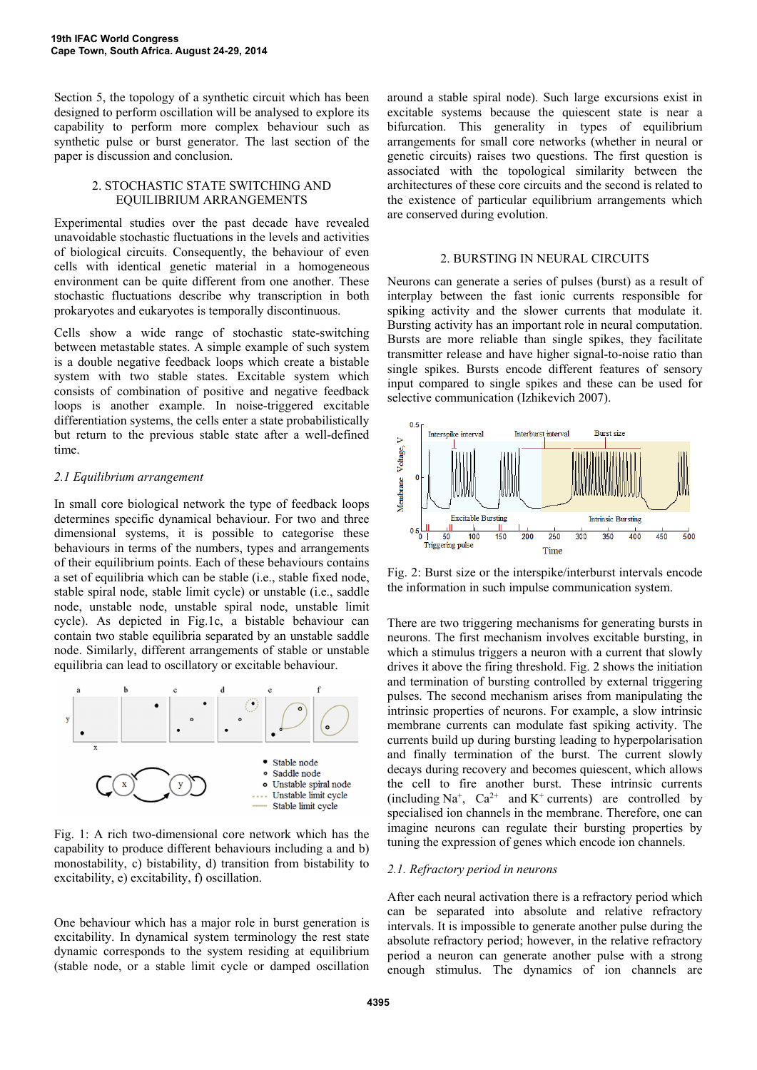Section 5, the topology of a synthetic circuit which has been designed to perform oscillation will be analysed to explore its capability to perform more complex behaviour such as synthetic pulse or burst generator. The last section of the paper is discussion and conclusion.

# 2. STOCHASTIC STATE SWITCHING AND EQUILIBRIUM ARRANGEMENTS

Experimental studies over the past decade have revealed unavoidable stochastic fluctuations in the levels and activities of biological circuits. Consequently, the behaviour of even cells with identical genetic material in a homogeneous environment can be quite different from one another. These stochastic fluctuations describe why transcription in both prokaryotes and eukaryotes is temporally discontinuous.

Cells show a wide range of stochastic state-switching between metastable states. A simple example of such system is a double negative feedback loops which create a bistable system with two stable states. Excitable system which consists of combination of positive and negative feedback loops is another example. In noise-triggered excitable differentiation systems, the cells enter a state probabilistically but return to the previous stable state after a well-defined time.

# *2.1 Equilibrium arrangement*

In small core biological network the type of feedback loops determines specific dynamical behaviour. For two and three dimensional systems, it is possible to categorise these behaviours in terms of the numbers, types and arrangements of their equilibrium points. Each of these behaviours contains a set of equilibria which can be stable (i.e., stable fixed node, stable spiral node, stable limit cycle) or unstable (i.e., saddle node, unstable node, unstable spiral node, unstable limit cycle). As depicted in Fig.1c, a bistable behaviour can contain two stable equilibria separated by an unstable saddle node. Similarly, different arrangements of stable or unstable equilibria can lead to oscillatory or excitable behaviour.



Fig. 1: A rich two-dimensional core network which has the capability to produce different behaviours including a and b) monostability, c) bistability, d) transition from bistability to excitability, e) excitability, f) oscillation.

One behaviour which has a major role in burst generation is excitability. In dynamical system terminology the rest state dynamic corresponds to the system residing at equilibrium (stable node, or a stable limit cycle or damped oscillation around a stable spiral node). Such large excursions exist in excitable systems because the quiescent state is near a bifurcation. This generality in types of equilibrium arrangements for small core networks (whether in neural or genetic circuits) raises two questions. The first question is associated with the topological similarity between the architectures of these core circuits and the second is related to the existence of particular equilibrium arrangements which are conserved during evolution.

# 2. BURSTING IN NEURAL CIRCUITS

Neurons can generate a series of pulses (burst) as a result of interplay between the fast ionic currents responsible for spiking activity and the slower currents that modulate it. Bursting activity has an important role in neural computation. Bursts are more reliable than single spikes, they facilitate transmitter release and have higher signal-to-noise ratio than single spikes. Bursts encode different features of sensory input compared to single spikes and these can be used for selective communication (Izhikevich 2007).



Fig. 2: Burst size or the interspike/interburst intervals encode the information in such impulse communication system.

There are two triggering mechanisms for generating bursts in neurons. The first mechanism involves excitable bursting, in which a stimulus triggers a neuron with a current that slowly drives it above the firing threshold. Fig. 2 shows the initiation and termination of bursting controlled by external triggering pulses. The second mechanism arises from manipulating the intrinsic properties of neurons. For example, a slow intrinsic membrane currents can modulate fast spiking activity. The currents build up during bursting leading to hyperpolarisation and finally termination of the burst. The current slowly decays during recovery and becomes quiescent, which allows the cell to fire another burst. These intrinsic currents (including Na<sup>+</sup>, Ca<sup>2+</sup> and K<sup>+</sup> currents) are controlled by specialised ion channels in the membrane. Therefore, one can imagine neurons can regulate their bursting properties by tuning the expression of genes which encode ion channels.

# *2.1. Refractory period in neurons*

After each neural activation there is a refractory period which can be separated into absolute and relative refractory intervals. It is impossible to generate another pulse during the absolute refractory period; however, in the relative refractory period a neuron can generate another pulse with a strong enough stimulus. The dynamics of ion channels are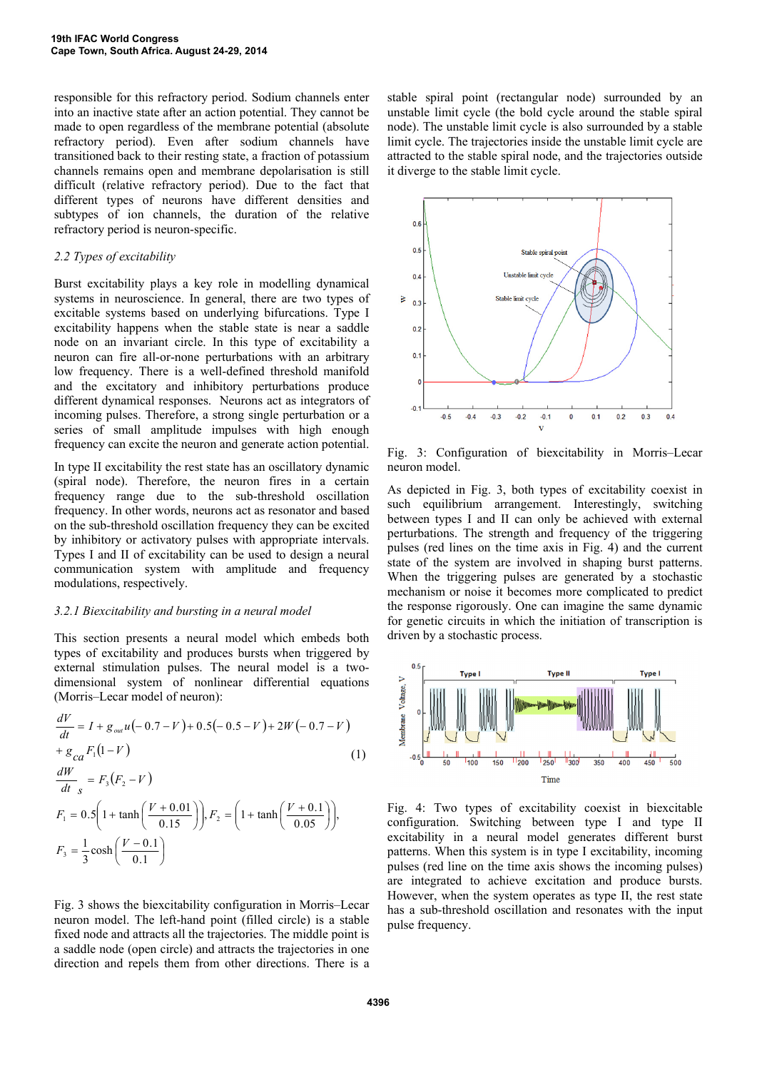responsible for this refractory period. Sodium channels enter into an inactive state after an action potential. They cannot be made to open regardless of the membrane potential (absolute refractory period). Even after sodium channels have transitioned back to their resting state, a fraction of potassium channels remains open and membrane depolarisation is still difficult (relative refractory period). Due to the fact that different types of neurons have different densities and subtypes of ion channels, the duration of the relative refractory period is neuron-specific.

# *2.2 Types of excitability*

Burst excitability plays a key role in modelling dynamical systems in neuroscience. In general, there are two types of excitable systems based on underlying bifurcations. Type I excitability happens when the stable state is near a saddle node on an invariant circle. In this type of excitability a neuron can fire all-or-none perturbations with an arbitrary low frequency. There is a well-defined threshold manifold and the excitatory and inhibitory perturbations produce different dynamical responses. Neurons act as integrators of incoming pulses. Therefore, a strong single perturbation or a series of small amplitude impulses with high enough frequency can excite the neuron and generate action potential.

In type II excitability the rest state has an oscillatory dynamic (spiral node). Therefore, the neuron fires in a certain frequency range due to the sub-threshold oscillation frequency. In other words, neurons act as resonator and based on the sub-threshold oscillation frequency they can be excited by inhibitory or activatory pulses with appropriate intervals. Types I and II of excitability can be used to design a neural communication system with amplitude and frequency modulations, respectively.

#### *3.2.1 Biexcitability and bursting in a neural model*

This section presents a neural model which embeds both types of excitability and produces bursts when triggered by external stimulation pulses. The neural model is a twodimensional system of nonlinear differential equations (Morris–Lecar model of neuron):

$$
\frac{dV}{dt} = I + g_{out}u(-0.7 - V) + 0.5(-0.5 - V) + 2W(-0.7 - V)
$$
  
+  $g_{ca}F_1(1 - V)$   

$$
\frac{dW}{dt}_s = F_s(F_2 - V)
$$
  

$$
F_1 = 0.5\left(1 + \tanh\left(\frac{V + 0.01}{0.15}\right)\right), F_2 = \left(1 + \tanh\left(\frac{V + 0.1}{0.05}\right)\right),
$$
  

$$
F_3 = \frac{1}{3}\cosh\left(\frac{V - 0.1}{0.1}\right)
$$
 (1)

Fig. 3 shows the biexcitability configuration in Morris–Lecar neuron model. The left-hand point (filled circle) is a stable fixed node and attracts all the trajectories. The middle point is a saddle node (open circle) and attracts the trajectories in one direction and repels them from other directions. There is a stable spiral point (rectangular node) surrounded by an unstable limit cycle (the bold cycle around the stable spiral node). The unstable limit cycle is also surrounded by a stable limit cycle. The trajectories inside the unstable limit cycle are attracted to the stable spiral node, and the trajectories outside it diverge to the stable limit cycle.



Fig. 3: Configuration of biexcitability in Morris–Lecar neuron model.

As depicted in Fig. 3, both types of excitability coexist in such equilibrium arrangement. Interestingly, switching between types I and II can only be achieved with external perturbations. The strength and frequency of the triggering pulses (red lines on the time axis in Fig. 4) and the current state of the system are involved in shaping burst patterns. When the triggering pulses are generated by a stochastic mechanism or noise it becomes more complicated to predict the response rigorously. One can imagine the same dynamic for genetic circuits in which the initiation of transcription is driven by a stochastic process.



Fig. 4: Two types of excitability coexist in biexcitable configuration. Switching between type I and type II excitability in a neural model generates different burst patterns. When this system is in type I excitability, incoming pulses (red line on the time axis shows the incoming pulses) are integrated to achieve excitation and produce bursts. However, when the system operates as type II, the rest state has a sub-threshold oscillation and resonates with the input pulse frequency.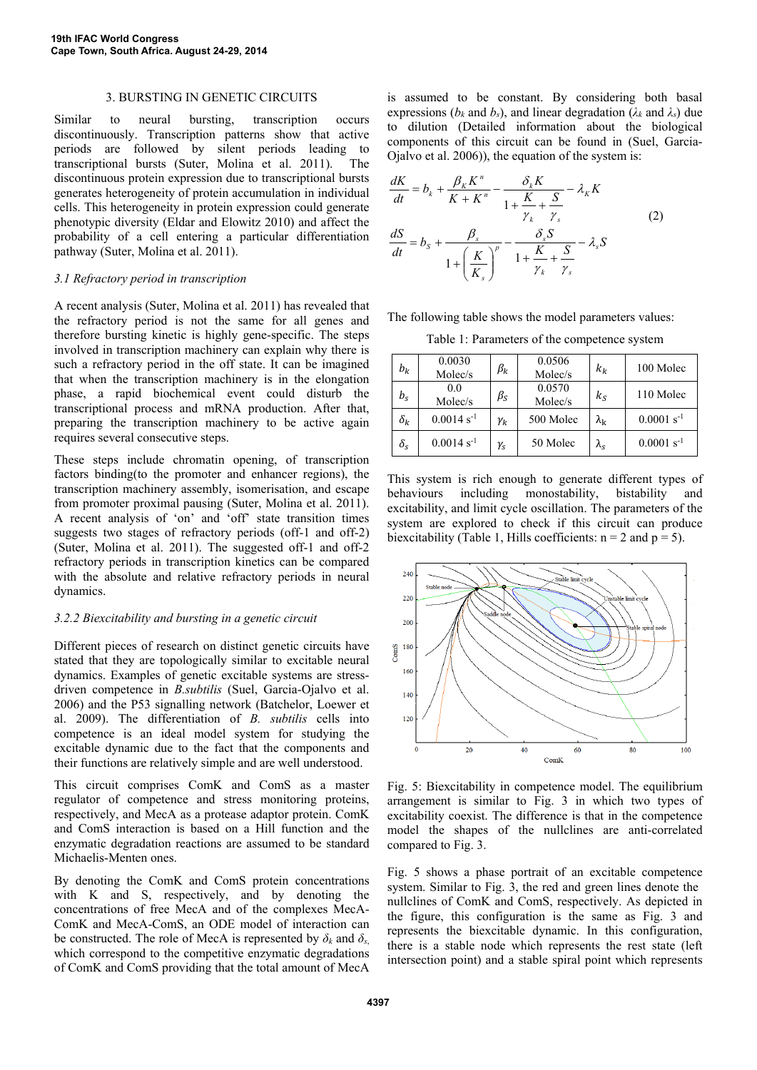### 3. BURSTING IN GENETIC CIRCUITS

Similar to neural bursting, transcription occurs discontinuously. Transcription patterns show that active periods are followed by silent periods leading to transcriptional bursts (Suter, Molina et al. 2011). The discontinuous protein expression due to transcriptional bursts generates heterogeneity of protein accumulation in individual cells. This heterogeneity in protein expression could generate phenotypic diversity (Eldar and Elowitz 2010) and affect the probability of a cell entering a particular differentiation pathway (Suter, Molina et al. 2011).

# *3.1 Refractory period in transcription*

A recent analysis (Suter, Molina et al. 2011) has revealed that the refractory period is not the same for all genes and therefore bursting kinetic is highly gene-specific. The steps involved in transcription machinery can explain why there is such a refractory period in the off state. It can be imagined that when the transcription machinery is in the elongation phase, a rapid biochemical event could disturb the transcriptional process and mRNA production. After that, preparing the transcription machinery to be active again requires several consecutive steps.

These steps include chromatin opening, of transcription factors binding(to the promoter and enhancer regions), the transcription machinery assembly, isomerisation, and escape from promoter proximal pausing (Suter, Molina et al. 2011). A recent analysis of 'on' and 'off' state transition times suggests two stages of refractory periods (off-1 and off-2) (Suter, Molina et al. 2011). The suggested off-1 and off-2 refractory periods in transcription kinetics can be compared with the absolute and relative refractory periods in neural dynamics.

# *3.2.2 Biexcitability and bursting in a genetic circuit*

Different pieces of research on distinct genetic circuits have stated that they are topologically similar to excitable neural dynamics. Examples of genetic excitable systems are stressdriven competence in *B.subtilis* (Suel, Garcia-Ojalvo et al. 2006) and the P53 signalling network (Batchelor, Loewer et al. 2009). The differentiation of *B. subtilis* cells into competence is an ideal model system for studying the excitable dynamic due to the fact that the components and their functions are relatively simple and are well understood.

This circuit comprises ComK and ComS as a master regulator of competence and stress monitoring proteins, respectively, and MecA as a protease adaptor protein. ComK and ComS interaction is based on a Hill function and the enzymatic degradation reactions are assumed to be standard Michaelis-Menten ones.

By denoting the ComK and ComS protein concentrations with K and S, respectively, and by denoting the concentrations of free MecA and of the complexes MecA-ComK and MecA-ComS, an ODE model of interaction can be constructed. The role of MecA is represented by  $\delta_k$  and  $\delta_s$ which correspond to the competitive enzymatic degradations of ComK and ComS providing that the total amount of MecA

is assumed to be constant. By considering both basal expressions ( $b_k$  and  $b_s$ ), and linear degradation ( $\lambda_k$  and  $\lambda_s$ ) due to dilution (Detailed information about the biological components of this circuit can be found in (Suel, Garcia-Ojalvo et al. 2006)), the equation of the system is:

$$
\frac{dK}{dt} = b_k + \frac{\beta_k K^n}{K + K^n} - \frac{\delta_k K}{1 + \frac{K}{\gamma_k} + \frac{S}{\gamma_s}} - \lambda_k K
$$
\n
$$
\frac{dS}{dt} = b_S + \frac{\beta_s}{1 + \left(\frac{K}{K_s}\right)^p} - \frac{\delta_s S}{1 + \frac{K}{\gamma_k} + \frac{S}{\gamma_s}} - \lambda_s S
$$
\n(2)

The following table shows the model parameters values:

Table 1: Parameters of the competence system

| $b_k$            | 0.0030<br>Molec/s         | $\beta_k$        | 0.0506<br>Molec/s | $k_{k}$                | 100 Molec       |
|------------------|---------------------------|------------------|-------------------|------------------------|-----------------|
| $b_{\rm s}$      | 0 <sub>0</sub><br>Molec/s | $\beta_S$        | 0.0570<br>Molec/s | $k_{S}$                | 110 Molec       |
| $\delta_k$       | $0.0014 s^{-1}$           | $\gamma_k$       | 500 Molec         | $\lambda_{\mathbf{k}}$ | $0.0001 s^{-1}$ |
| $\delta_{\rm s}$ | $0.0014 s^{-1}$           | $\gamma_{\rm s}$ | 50 Molec          | $\lambda_{\rm c}$      | $0.0001 s^{-1}$ |

This system is rich enough to generate different types of behaviours including monostability, bistability and excitability, and limit cycle oscillation. The parameters of the system are explored to check if this circuit can produce biexcitability (Table 1, Hills coefficients:  $n = 2$  and  $p = 5$ ).



Fig. 5: Biexcitability in competence model. The equilibrium arrangement is similar to Fig. 3 in which two types of excitability coexist. The difference is that in the competence model the shapes of the nullclines are anti-correlated compared to Fig. 3.

Fig. 5 shows a phase portrait of an excitable competence system. Similar to Fig. 3, the red and green lines denote the nullclines of ComK and ComS, respectively. As depicted in the figure, this configuration is the same as Fig. 3 and represents the biexcitable dynamic. In this configuration, there is a stable node which represents the rest state (left intersection point) and a stable spiral point which represents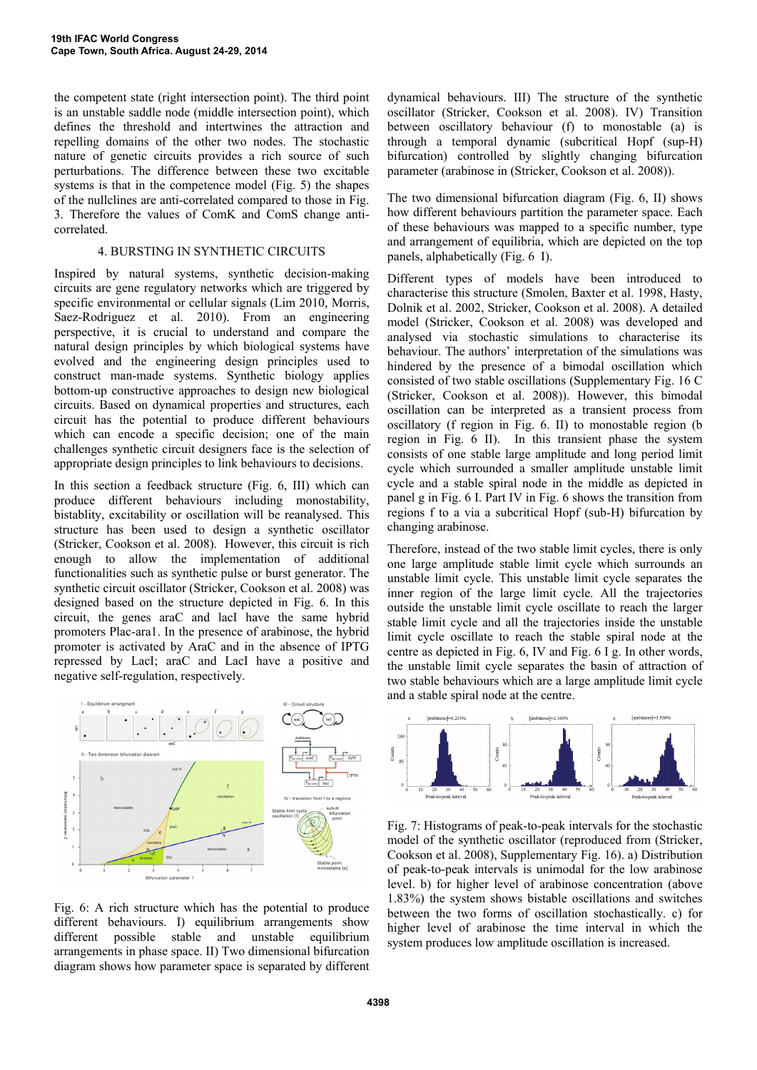the competent state (right intersection point). The third point is an unstable saddle node (middle intersection point), which defines the threshold and intertwines the attraction and repelling domains of the other two nodes. The stochastic nature of genetic circuits provides a rich source of such perturbations. The difference between these two excitable systems is that in the competence model (Fig. 5) the shapes of the nullclines are anti-correlated compared to those in Fig. 3. Therefore the values of ComK and ComS change anticorrelated.

# 4. BURSTING IN SYNTHETIC CIRCUITS

Inspired by natural systems, synthetic decision-making circuits are gene regulatory networks which are triggered by specific environmental or cellular signals (Lim 2010, Morris, Saez-Rodriguez et al. 2010). From an engineering perspective, it is crucial to understand and compare the natural design principles by which biological systems have evolved and the engineering design principles used to construct man-made systems. Synthetic biology applies bottom-up constructive approaches to design new biological circuits. Based on dynamical properties and structures, each circuit has the potential to produce different behaviours which can encode a specific decision; one of the main challenges synthetic circuit designers face is the selection of appropriate design principles to link behaviours to decisions.

In this section a feedback structure (Fig. 6, III) which can produce different behaviours including monostability, bistablity, excitability or oscillation will be reanalysed. This structure has been used to design a synthetic oscillator (Stricker, Cookson et al. 2008). However, this circuit is rich enough to allow the implementation of additional functionalities such as synthetic pulse or burst generator. The synthetic circuit oscillator (Stricker, Cookson et al. 2008) was designed based on the structure depicted in Fig. 6. In this circuit, the genes araC and lacI have the same hybrid promoters Plac-ara1. In the presence of arabinose, the hybrid promoter is activated by AraC and in the absence of IPTG repressed by LacI; araC and LacI have a positive and negative self-regulation, respectively.



Fig. 6: A rich structure which has the potential to produce different behaviours. I) equilibrium arrangements show different possible stable and unstable equilibrium arrangements in phase space. II) Two dimensional bifurcation diagram shows how parameter space is separated by different

dynamical behaviours. III) The structure of the synthetic oscillator (Stricker, Cookson et al. 2008). IV) Transition between oscillatory behaviour (f) to monostable (a) is through a temporal dynamic (subcritical Hopf (sup-H) bifurcation) controlled by slightly changing bifurcation parameter (arabinose in (Stricker, Cookson et al. 2008)).

The two dimensional bifurcation diagram (Fig. 6, II) shows how different behaviours partition the parameter space. Each of these behaviours was mapped to a specific number, type and arrangement of equilibria, which are depicted on the top panels, alphabetically (Fig. 6 I).

Different types of models have been introduced to characterise this structure (Smolen, Baxter et al. 1998, Hasty, Dolnik et al. 2002, Stricker, Cookson et al. 2008). A detailed model (Stricker, Cookson et al. 2008) was developed and analysed via stochastic simulations to characterise its behaviour. The authors' interpretation of the simulations was hindered by the presence of a bimodal oscillation which consisted of two stable oscillations (Supplementary Fig. 16 C (Stricker, Cookson et al. 2008)). However, this bimodal oscillation can be interpreted as a transient process from oscillatory (f region in Fig. 6. II) to monostable region (b region in Fig. 6 II). In this transient phase the system consists of one stable large amplitude and long period limit cycle which surrounded a smaller amplitude unstable limit cycle and a stable spiral node in the middle as depicted in panel g in Fig. 6 I. Part IV in Fig. 6 shows the transition from regions f to a via a subcritical Hopf (sub-H) bifurcation by changing arabinose.

Therefore, instead of the two stable limit cycles, there is only one large amplitude stable limit cycle which surrounds an unstable limit cycle. This unstable limit cycle separates the inner region of the large limit cycle. All the trajectories outside the unstable limit cycle oscillate to reach the larger stable limit cycle and all the trajectories inside the unstable limit cycle oscillate to reach the stable spiral node at the centre as depicted in Fig. 6, IV and Fig. 6 I g. In other words, the unstable limit cycle separates the basin of attraction of two stable behaviours which are a large amplitude limit cycle and a stable spiral node at the centre.



Fig. 7: Histograms of peak-to-peak intervals for the stochastic model of the synthetic oscillator (reproduced from (Stricker, Cookson et al. 2008), Supplementary Fig. 16). a) Distribution of peak-to-peak intervals is unimodal for the low arabinose level. b) for higher level of arabinose concentration (above 1.83%) the system shows bistable oscillations and switches between the two forms of oscillation stochastically. c) for higher level of arabinose the time interval in which the system produces low amplitude oscillation is increased.